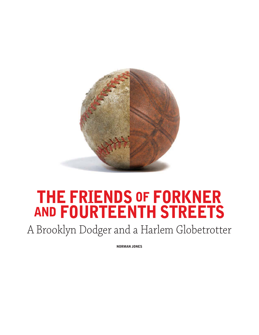

## **THE FRIENDS OF FORKNER AND FOURTEENTH STREETS**

A Brooklyn Dodger and a Harlem Globetrotter

**NORMAN JONES**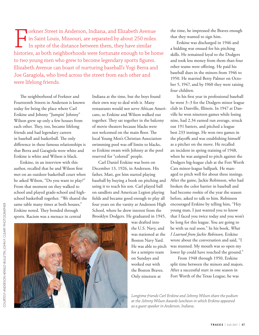Forkner Street in Anderson, Indiana, and Elizabeth Avenue<br>in Saint Louis, Missouri, are separated by about 250 miles.<br>In spite of the distance between them, they have similar<br>histories, as both neighborhoods were fortunate in Saint Louis, Missouri, are separated by about 250 miles. In spite of the distance between them, they have similar histories, as both neighborhoods were fortunate enough to be home to two young men who grew to become legendary sports figures. Elizabeth Avenue can boast of nurturing baseball's Yogi Berra and Joe Garagiola, who lived across the street from each other and were lifelong friends.

The neighborhood of Forkner and Fourteenth Streets in Anderson is known today for being the place where Carl Erskine and Johnny "Jumpin' Johnny" Wilson grew up only a few houses from each other. They, too, became lifelong friends and had legendary careers in baseball and basketball. The only difference in these famous relationships is that Berra and Garagiola were white and Erskine is white and Wilson is black.

Erskine, in an interview with this author, recalled that he and Wilson first met on an outdoor basketball court when he asked Wilson, "Do you want to play?" From that moment on they walked to school and played grade-school and highschool basketball together. "We shared the same table many times at both houses," Erskine noted. They bonded through sports. Racism was a menace in central

Indiana at the time, but the boys found their own way to deal with it. Many restaurants would not serve African Americans, so Erskine and Wilson walked out together. They sat together in the balcony of movie theaters because blacks were not welcomed on the main floor. The local Young Men's Christian Association swimming pool was off limits to blacks, so Erskine swam with Johnny at the pool reserved for "colored" people.

Carl Daniel Erskine was born on December 13, 1926, in Anderson. His father, Matt, got him started playing baseball by buying a book on pitching and using it to teach his son. Carl played ball on sandlots and American Legion playing fields and became good enough to play all four years on the varsity at Anderson High School, where he drew interest from the Brooklyn Dodgers. He graduated in 1945,

was drafted into the U.S. Navy, and was stationed at the Boston Navy Yard. He was able to pitch for a semipro team on Sundays and worked out with the Boston Braves. Only nineteen at

the time, he impressed the Braves enough that they wanted to sign him.

Erskine was discharged in 1946 and a bidding war ensued for his pitching skills. He remained loyal to the Dodgers and took less money from them than four other teams were offering. He paid his baseball dues in the minors from 1946 to 1950. He married Betty Palmer on October 5, 1947, and by 1960 they were raising four children.

In his first year in professional baseball he went 3–3 for the Dodgers minor league club in Danville, Illinois. In 1947 at Danville he won nineteen games while losing nine, had 2.34 earned run average, struck out 191 batters, and pitched a league best 233 innings. He won two games in the playoffs and was establishing himself as a pitcher on the move. He recalled an incident in spring training of 1948, when he was assigned to pitch against the Dodgers big-league club at the Fort Worth Cats minor-league ballpark. He managed to pitch well for about three innings. After the game, Jackie Robinson, who had broken the color barrier in baseball and had become rookie of the year the season before, asked to talk to him. Robinson encouraged Erskine by telling him, "Hey young man, I just wanted you to know that I faced you twice today and you won't be long for this league. You are going to be with us real soon." In his book, *What I Learned from Jackie Robinson,* Erskine wrote about the conversation and said, "I was stunned. My mouth was so open my lower lip could have touched the ground."

 From 1948 through 1950, Erskine split time between the minors and majors. After a successful start in one season in Fort Worth of the Texas League, he was

*Longtime friends Carl Erskine and Johnny Wilson share the podium at the Johnny Wilson Awards luncheon in which Erskine appeared as a guest speaker in Anderson, Indiana.*

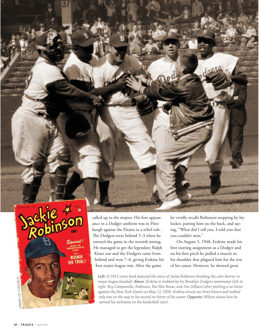

called up to the majors. His first appearance in a Dodger uniform was in Pittsburgh against the Pirates in a relief role. The Dodgers were behind 5–3 when he entered the game in the seventh inning. He managed to get the legendary Ralph Kiner out and the Dodgers came from behind and won 7–6, giving Erskine his first major-league win. After the game

he vividly recalls Robinson stopping by his locker, patting him on the back, and saying, "What did I tell you. I told you that you couldn't miss."

On August 5, 1948, Erskine made his first starting assignment as a Dodger and on his first pitch he pulled a muscle in his shoulder that plagued him for the rest of his career. However, he showed great

*Left: A 1951 comic book featured the story of Jackie Robinson breaking the color barrier in major-league baseball. Above: Erskine is mobbed by his Brooklyn Dodgers teammates (left to right: Roy Campanella, Robinson, Pee Wee Reese, and Jim Gilliam) after pitching a no-hitter against the New York Giants on May 12, 1956. Erskine struck out three hitters and walked only two on the way to his second no-hitter of his career. Opposite: Wilson shows how he earned his nickname on the basketball court.*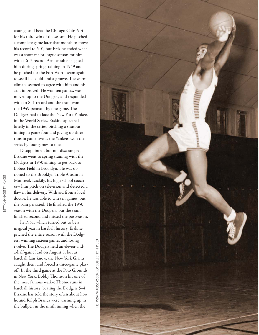courage and beat the Chicago Cubs 6–4 for his third win of the season. He pitched a complete game later that month to move his record to 5–0, but Erskine ended what was a short major league season for him with a 6–3 record. Arm trouble plagued him during spring training in 1949 and he pitched for the Fort Worth team again to see if he could find a groove. The warm climate seemed to agree with him and his arm improved. He won ten games, was moved up to the Dodgers, and responded with an 8–1 record and the team won the 1949 pennant by one game. The Dodgers had to face the New York Yankees in the World Series. Erskine appeared briefly in the series, pitching a shutout inning in game four and giving up three runs in game five as the Yankees won the series by four games to one.

Disappointed, but not discouraged, Erskine went to spring training with the Dodgers in 1950 aiming to get back to Ebbets Field in Brooklyn. He was optioned to the Brooklyn Triple A team in Montreal. Luckily, his high school coach saw him pitch on television and detected a flaw in his delivery. With aid from a local doctor, he was able to win ten games, but the pain persisted. He finished the 1950 season with the Dodgers, but the team finished second and missed the postseason.

In 1951, which turned out to be a magical year in baseball history, Erskine pitched the entire season with the Dodgers, winning sixteen games and losing twelve. The Dodgers held an eleven-anda-half-game lead on August 8, but as baseball fans know, the New York Giants caught them and forced a three-game playoff. In the third game at the Polo Grounds in New York, Bobby Thomson hit one of the most famous walk-off home runs in baseball history, beating the Dodgers 5–4. Erskine has told the story often about how he and Ralph Branca were warming up in the bullpen in the ninth inning when the

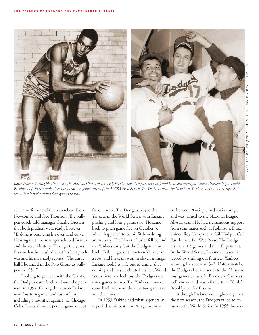

*Left: Wilson during his time with the Harlem Globetrotters. Right: Catcher Campanella (left) and Dodgers manager Chuck Dressen (right) hold Erskine aloft in triumph after his victory in game three of the 1953 World Series. The Dodgers beat the New York Yankees in that game by a 3–2 score, but lost the series four games to two.*

call came for one of them to relieve Don Newcombe and face Thomson. The bullpen coach told manager Charlie Dressen that both pitchers were ready, however "Erskine is bouncing his overhand curve." Hearing that, the manager selected Branca and the rest is history. Through the years Erskine has been asked what his best pitch was and he invariably replies, "The curve ball I bounced in the Polo Grounds bullpen in 1951."

 Looking to get even with the Giants, the Dodgers came back and won the pennant in 1952. During this season Erskine won fourteen games and lost only six, including a no-hitter against the Chicago Cubs. It was almost a perfect game except for one walk. The Dodgers played the Yankees in the World Series, with Erskine pitching and losing game two. He came back to pitch game five on October 5, which happened to be his fifth wedding anniversary. The Hoosier hurler fell behind Furillo, and Pee Wee Reese. The Dodgthe Yankees early, but the Dodgers came back, Erskine got out nineteen Yankees in a row, and his team won in eleven innings. Erskine took his wife out to dinner that evening and they celebrated his first World Series victory, which put the Dodgers up three games to two. The Yankees, however, came back and won the next two games to win the series.

In 1953 Erskine had what is generally regarded as his best year. At age twentysix he went 20–6, pitched 246 innings, and was named to the National League All-star team. He had tremendous support from teammates such as Robinson, Duke Snider, Roy Campanella, Gil Hodges, Carl ers won 105 games and the NL pennant. In the World Series, Erskine set a series record by striking out fourteen Yankees, winning by a score of 3–2. Unfortunately, the Dodgers lost the series to the AL squad four games to two. In Brooklyn, Carl was well known and was referred to as "Oisk," Brooklynese for Erskine.

Although Erskine won eighteen games the next season, the Dodgers failed to return to the World Series. In 1955, howev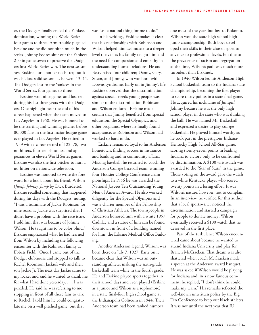er, the Dodgers finally ended the Yankees domination, winning the World Series four games to three. Arm trouble plagued Erskine and he did not pitch much in the series. Johnny Podres shut out the Yankees 2–0 in game seven to preserve the Dodgers first World Series win. The next season saw Erskine hurl another no-hitter, but it was his last solid season, as he went 13–11. The Dodgers lost to the Yankees in the World Series, four games to three.

Erskine won nine games and lost ten during his last three years with the Dodgers. One highlight near the end of his career happened when the team moved to Los Angeles in 1958. He was honored to be the starting and winning pitcher before 80,000 fans in the first major-league game ever played in Los Angeles. He retired in 1959 with a career record of 122–78, two no-hitters, fourteen shutouts, and appearances in eleven World Series games. Erskine was also the first pitcher to hurl a no-hitter on nationwide television.

Erskine was honored to write the foreword for a book about his friend, Wilson (*Jump, Johnny, Jump* by Dick Burdette). Erskine recalled something that happened during his days with the Dodgers, noting, "I was a teammate of Jackie Robinson for nine seasons. Jackie was surprised that I didn't have a problem with the race issue. I told him that was because of Johnny Wilson. He taught me to be color blind." Erskine emphasized what he had learned from Wilson by including the following encounter with the Robinson family at Ebbets Field: "Once I came out of the Dodger clubhouse and stopped to talk to Rachel Robinson, Jackie's wife and their son Jackie Jr. The next day Jackie came to my locker and said he wanted to thank me for what I had done yesterday. . . . I was puzzled. He said he was referring to me stopping in front of all those fans to talk to Rachel. I told him he could congratulate me on a well pitched game, but that

was just a natural thing for me to do."

In his writings, Erskine makes it clear that his relationships with Robinson and Wilson helped him assimulate to a deeper level the values his family taught him and the need for compassion and empathy in understanding human relations. He and Betty raised four children; Danny, Gary, Susan, and Jimmy, who was born with Downs syndrome. Early on in Jimmy's life, Erskine observed that the discrimination against special-needs young people was similar to the discrimination Robinson and Wilson endured. Erskine made certain that Jimmy benefited from special education, the Special Olympics, and other programs, where he finally found acceptance, as Robinson and Wilson had worked so hard to do.

Erskine remained loyal to his Anderson hometown, finding success in insurance and banking and in community affairs. Missing baseball, he returned to coach the Anderson College baseball team, winning four Hoosier College Conference championships. In 1956 he was awarded the National Jaycees Ten Outstanding Young Men of America Award. He also worked diligently for the Special Olympics and was a charter member of the Fellowship of Christian Athletes. The townspeople in Anderson honored him with a white 1957 Cadillac and a statue of him can be found downtown in front of a building named for him, the Erksine Medical Office Building.

Another Anderson legend, Wilson, was born there on July 7, 1927. Early on it became clear that Wilson was an outstanding athlete, making the sixth-grade basketball team while in the fourth grade. He and Erskine played sports together in their school days and even played (Erskine as a junior and Wilson as a sophomore) in a state final-four high school game at the Indianapolis Coliseum in 1944. Their Anderson team had been ranked number

one most of the year, but lost to Kokomo. Wilson won the state high school highjump championship. Both boys developed their skills in their chosen sport to advance to professional levels, but due to the prevalence of racism and segregation at the time, Wilson's path was much more turbulent than Erskine's.

In 1946 Wilson led his Anderson High School basketball team to the Indiana state championship, becoming the first player to score thirty points in a state final game. He acquired his nickname of Jumpin' Johnny because he was the only high school player in the state who was dunking the ball. He was named Mr. Basketball and expressed a desire to play college basketball. He proved himself worthy as he took part in the prestigious Indiana-Kentucky High School All-Star game, scoring twenty-seven points in leading Indiana to victory only to be confronted by discrimination. A \$100 wristwatch was awarded to the "Star of Stars" in the game. Those voting on the award gave the watch to a white Kentucky player who scored twenty points in a losing effort. It was Wilson's nature, however, not to complain. In an interview, he verified for this author that a local sportswriter noticed the discrimination and started a campaign for people to donate money; Wilson eventually received a \$100 watch that he deserved in the first place.

Part of the turbulence Wilson encountered came about because he wanted to attend Indiana University and play for Branch McCracken. That dream was also shattered when coach McCracken made a speech at the Anderson award banquet. He was asked if Wilson would be playing for Indiana and, in a now famous comment, he replied, "I don't think he could make my team." His remarks reflected the well-known unwritten policy by the Big Ten Conference to keep out black athletes. It was not until the next year that IU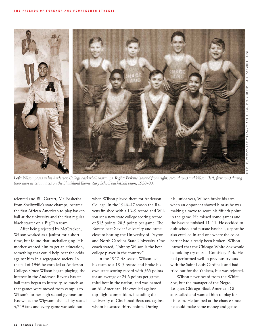

Left: Wilson poses in his Anderson College basketball warmups. Right: Erskine (second from right, second row) and Wilson (left, first row) during *their days as teammates on the Shadeland Elementary School basketball team, 1938–39.*

relented and Bill Garrett, Mr. Basketball from Shelbyville's state champs, became the first African American to play basketball at the university and the first regular black starter on a Big Ten team.

After being rejected by McCracken, Wilson worked as a janitor for a short time, but found that unchallenging. His mother wanted him to get an education, something that could help beat the odds against him in a segregated society. In the fall of 1946 he enrolled at Anderson College. Once Wilson began playing, the interest in the Anderson Ravens basketball team began to intensify, so much so that games were moved from campus to Wilson's former high school gymnasium. Known as the Wigwam, the facility seated 4,749 fans and every game was sold out

when Wilson played there for Anderson College. In the 1946–47 season the Ravens finished with a 16–9 record and Wilson set a new state college scoring record of 515 points, 20.5 points per game. The Ravens beat Xavier University and came close to beating the University of Dayton and North Carolina State University. One coach stated, "Johnny Wilson is the best college player in the country."

In the 1947–48 season Wilson led his team to a 18–5 record and broke his own state scoring record with 565 points for an average of 24.6 points per game, third best in the nation, and was named an All-American. He excelled against top-flight competition, including the University of Cincinnati Bearcats, against whom he scored thirty points. During

his junior year, Wilson broke his arm when an opponent shoved him as he was making a move to score his fiftieth point in the game. He missed some games and the Ravens finished 11–11. He decided to quit school and pursue baseball, a sport he also excelled in and one where the color barrier had already been broken. Wilson learned that the Chicago White Sox would be holding try outs at Comiskey Park. He had performed well in previous tryouts with the Saint Louis Cardinals and had tried out for the Yankees, but was rejected.

Wilson never heard from the White Sox, but the manager of the Negro League's Chicago Black American Giants called and wanted him to play for his team. He jumped at the chance since he could make some money and get to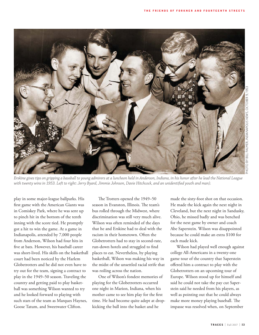

*Erskine gives tips on gripping a baseball to young admirers at a luncheon held in Anderson, Indiana, in his honor after he lead the National League with twenty wins in 1953. Left to right: Jerry Byard, Jimmie Johnson, Davie Hitchcock, and an unidentified youth and man).*

play in some major-league ballparks. His first game with the American Giants was in Comiskey Park, where he was sent up to pinch hit in the bottom of the tenth inning with the score tied. He promptly got a hit to win the game. At a game in Indianapolis, attended by 7,000 people from Anderson, Wilson had four hits in five at bats. However, his baseball career was short-lived. His skills on the basketball court had been noticed by the Harlem Globetrotters and he did not even have to try out for the team, signing a contract to play in the 1949–50 season. Traveling the country and getting paid to play basketball was something Wilson wanted to try and he looked forward to playing with such stars of the team as Marques Haynes, Goose Tatum, and Sweetwater Clifton.

The Trotters opened the 1949–50 season in Evanston, Illinois. The team's bus rolled through the Midwest, where discrimination was still very much alive. Wilson was often reminded of the days that he and Erskine had to deal with the racism in their hometown. Often the Globetrotters had to stay in second-rate, run-down hotels and struggled to find places to eat. Nevertheless, by playing basketball, Wilson was making his way in the midst of the unsettled racial strife that was roiling across the nation.

One of Wilson's fondest memories of playing for the Globetrotters occurred one night in Marion, Indiana, when his mother came to see him play for the first time. He had become quite adept at dropkicking the ball into the basket and he

made the sixty-foot shot on that occasion. He made the kick again the next night in Cleveland, but the next night in Sandusky, Ohio, he missed badly and was benched for the next game by owner and coach Abe Saperstein. Wilson was disappointed because he could make an extra \$100 for each made kick.

Wilson had played well enough against college All-Americans in a twenty-one game tour of the country that Saperstein offered him a contract to play with the Globetrotters on an upcoming tour of Europe. Wilson stood up for himself and said he could not take the pay cut Saperstein said he needed from his players, as well as pointing out that he could always make more money playing baseball. The impasse was resolved when, on September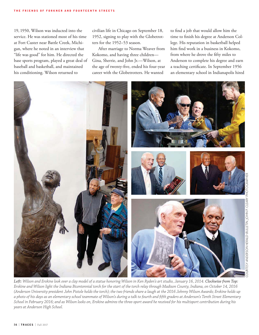19, 1950, Wilson was inducted into the service. He was stationed most of his time at Fort Custer near Battle Creek, Michigan, where he noted in an interview that "life was good" for him. He directed the base sports program, played a great deal of baseball and basketball, and maintained his conditioning. Wilson returned to

civilian life in Chicago on September 18, 1952, signing to play with the Globetrotters for the 1952–53 season.

After marriage to Norma Weaver from Kokomo, and having three children— Gina, Sherrie, and John Jr.—Wilson, at the age of twenty-five, ended his four-year career with the Globetrotters. He wanted

to find a job that would allow him the time to finish his degree at Anderson College. His reputation in basketball helped him find work in a business in Kokomo, from where he drove the fifty miles to Anderson to complete his degree and earn a teaching certificate. In September 1956 an elementary school in Indianapolis hired



*Left: Wilson and Erskine look over a clay model of a statue honoring Wilson in Ken Ryden's art studio, January 16, 2014. Clockwise from Top: Erskine and Wilson light the Indiana Bicentennial torch for the start of the torch relay through Madison County, Indiana, on October 14, 2016 (Anderson University president John Pistole holds the torch); the two friends share a laugh at the 2016 Johnny Wilson Awards; Erskine holds up a photo of his days as an elementary school teammate of Wilson's during a talk to fourth and fifth graders at Anderson's Tenth Street Elementary School in February 2016; and as Wilson looks on, Erskine admires the three-sport award he received for his multisport contribution during his years at Anderson High School.*